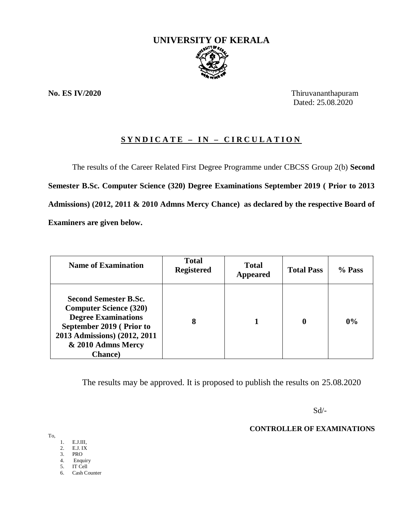

**No. ES IV/2020** Thiruvananthapuram Dated: 25.08.2020

## **S Y N D I C A T E – I N – C I R C U L A T I O N**

The results of the Career Related First Degree Programme under CBCSS Group 2(b) **Second Semester B.Sc. Computer Science (320) Degree Examinations September 2019 ( Prior to 2013 Admissions) (2012, 2011 & 2010 Admns Mercy Chance) as declared by the respective Board of Examiners are given below.**

| <b>Name of Examination</b>                                                                                                                                                                       | <b>Total</b><br><b>Registered</b> | <b>Total</b><br>Appeared | <b>Total Pass</b> | $%$ Pass |
|--------------------------------------------------------------------------------------------------------------------------------------------------------------------------------------------------|-----------------------------------|--------------------------|-------------------|----------|
| <b>Second Semester B.Sc.</b><br><b>Computer Science (320)</b><br><b>Degree Examinations</b><br>September 2019 (Prior to<br>2013 Admissions) (2012, 2011<br>& 2010 Admns Mercy<br><b>Chance</b> ) | 8                                 |                          | 0                 | 0%       |

The results may be approved. It is proposed to publish the results on 25.08.2020

 $Sd$ <sup>-</sup>

**CONTROLLER OF EXAMINATIONS**

To,

- 1. E.J.III,
- 2. E.J. IX
- 3. PRO
- 4. Enquiry IT Cell
- 6. Cash Counter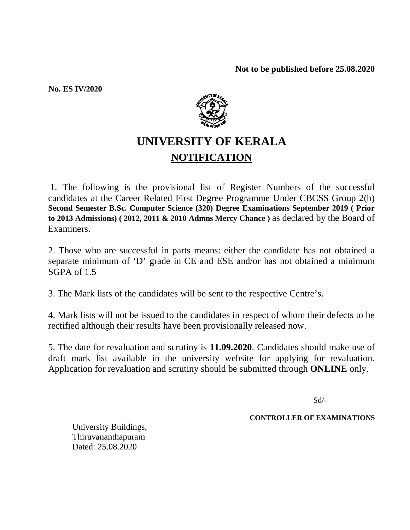**No. ES IV/2020**



# **UNIVERSITY OF KERALA NOTIFICATION**

1. The following is the provisional list of Register Numbers of the successful candidates at the Career Related First Degree Programme Under CBCSS Group 2(b) **Second Semester B.Sc. Computer Science (320) Degree Examinations September 2019 ( Prior to 2013 Admissions) ( 2012, 2011 & 2010 Admns Mercy Chance )** as declared by the Board of Examiners.

2. Those who are successful in parts means: either the candidate has not obtained a separate minimum of 'D' grade in CE and ESE and/or has not obtained a minimum SGPA of 1.5

3. The Mark lists of the candidates will be sent to the respective Centre's.

4. Mark lists will not be issued to the candidates in respect of whom their defects to be rectified although their results have been provisionally released now.

5. The date for revaluation and scrutiny is **11.09.2020**. Candidates should make use of draft mark list available in the university website for applying for revaluation. Application for revaluation and scrutiny should be submitted through **ONLINE** only.

Sd/-

**CONTROLLER OF EXAMINATIONS**

University Buildings, Thiruvananthapuram Dated: 25.08.2020